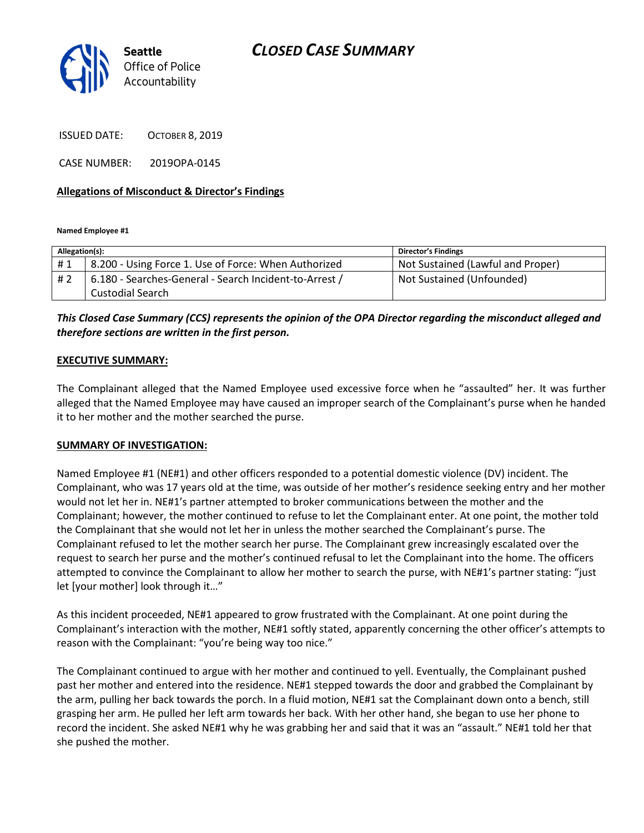

CLOSED CASE SUMMARY

ISSUED DATE: OCTOBER 8, 2019

CASE NUMBER: 2019OPA-0145

### Allegations of Misconduct & Director's Findings

Named Employee #1

| Allegation(s): |                                                        | <b>Director's Findings</b>        |
|----------------|--------------------------------------------------------|-----------------------------------|
| #1             | 8.200 - Using Force 1. Use of Force: When Authorized   | Not Sustained (Lawful and Proper) |
| #2             | 6.180 - Searches-General - Search Incident-to-Arrest / | Not Sustained (Unfounded)         |
|                | Custodial Search                                       |                                   |

This Closed Case Summary (CCS) represents the opinion of the OPA Director regarding the misconduct alleged and therefore sections are written in the first person.

### EXECUTIVE SUMMARY:

The Complainant alleged that the Named Employee used excessive force when he "assaulted" her. It was further alleged that the Named Employee may have caused an improper search of the Complainant's purse when he handed it to her mother and the mother searched the purse.

### SUMMARY OF INVESTIGATION:

Named Employee #1 (NE#1) and other officers responded to a potential domestic violence (DV) incident. The Complainant, who was 17 years old at the time, was outside of her mother's residence seeking entry and her mother would not let her in. NE#1's partner attempted to broker communications between the mother and the Complainant; however, the mother continued to refuse to let the Complainant enter. At one point, the mother told the Complainant that she would not let her in unless the mother searched the Complainant's purse. The Complainant refused to let the mother search her purse. The Complainant grew increasingly escalated over the request to search her purse and the mother's continued refusal to let the Complainant into the home. The officers attempted to convince the Complainant to allow her mother to search the purse, with NE#1's partner stating: "just let [your mother] look through it…"

As this incident proceeded, NE#1 appeared to grow frustrated with the Complainant. At one point during the Complainant's interaction with the mother, NE#1 softly stated, apparently concerning the other officer's attempts to reason with the Complainant: "you're being way too nice."

The Complainant continued to argue with her mother and continued to yell. Eventually, the Complainant pushed past her mother and entered into the residence. NE#1 stepped towards the door and grabbed the Complainant by the arm, pulling her back towards the porch. In a fluid motion, NE#1 sat the Complainant down onto a bench, still grasping her arm. He pulled her left arm towards her back. With her other hand, she began to use her phone to record the incident. She asked NE#1 why he was grabbing her and said that it was an "assault." NE#1 told her that she pushed the mother.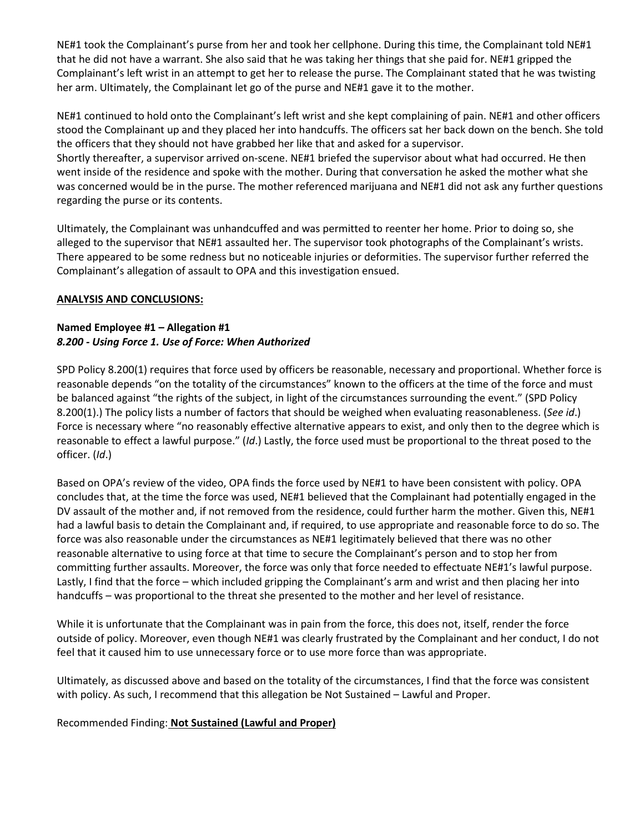NE#1 took the Complainant's purse from her and took her cellphone. During this time, the Complainant told NE#1 that he did not have a warrant. She also said that he was taking her things that she paid for. NE#1 gripped the Complainant's left wrist in an attempt to get her to release the purse. The Complainant stated that he was twisting her arm. Ultimately, the Complainant let go of the purse and NE#1 gave it to the mother.

NE#1 continued to hold onto the Complainant's left wrist and she kept complaining of pain. NE#1 and other officers stood the Complainant up and they placed her into handcuffs. The officers sat her back down on the bench. She told the officers that they should not have grabbed her like that and asked for a supervisor.

Shortly thereafter, a supervisor arrived on-scene. NE#1 briefed the supervisor about what had occurred. He then went inside of the residence and spoke with the mother. During that conversation he asked the mother what she was concerned would be in the purse. The mother referenced marijuana and NE#1 did not ask any further questions regarding the purse or its contents.

Ultimately, the Complainant was unhandcuffed and was permitted to reenter her home. Prior to doing so, she alleged to the supervisor that NE#1 assaulted her. The supervisor took photographs of the Complainant's wrists. There appeared to be some redness but no noticeable injuries or deformities. The supervisor further referred the Complainant's allegation of assault to OPA and this investigation ensued.

## ANALYSIS AND CONCLUSIONS:

# Named Employee #1 – Allegation #1 8.200 - Using Force 1. Use of Force: When Authorized

SPD Policy 8.200(1) requires that force used by officers be reasonable, necessary and proportional. Whether force is reasonable depends "on the totality of the circumstances" known to the officers at the time of the force and must be balanced against "the rights of the subject, in light of the circumstances surrounding the event." (SPD Policy 8.200(1).) The policy lists a number of factors that should be weighed when evaluating reasonableness. (See id.) Force is necessary where "no reasonably effective alternative appears to exist, and only then to the degree which is reasonable to effect a lawful purpose." (Id.) Lastly, the force used must be proportional to the threat posed to the officer. (Id.)

Based on OPA's review of the video, OPA finds the force used by NE#1 to have been consistent with policy. OPA concludes that, at the time the force was used, NE#1 believed that the Complainant had potentially engaged in the DV assault of the mother and, if not removed from the residence, could further harm the mother. Given this, NE#1 had a lawful basis to detain the Complainant and, if required, to use appropriate and reasonable force to do so. The force was also reasonable under the circumstances as NE#1 legitimately believed that there was no other reasonable alternative to using force at that time to secure the Complainant's person and to stop her from committing further assaults. Moreover, the force was only that force needed to effectuate NE#1's lawful purpose. Lastly, I find that the force – which included gripping the Complainant's arm and wrist and then placing her into handcuffs – was proportional to the threat she presented to the mother and her level of resistance.

While it is unfortunate that the Complainant was in pain from the force, this does not, itself, render the force outside of policy. Moreover, even though NE#1 was clearly frustrated by the Complainant and her conduct, I do not feel that it caused him to use unnecessary force or to use more force than was appropriate.

Ultimately, as discussed above and based on the totality of the circumstances, I find that the force was consistent with policy. As such, I recommend that this allegation be Not Sustained – Lawful and Proper.

Recommended Finding: Not Sustained (Lawful and Proper)